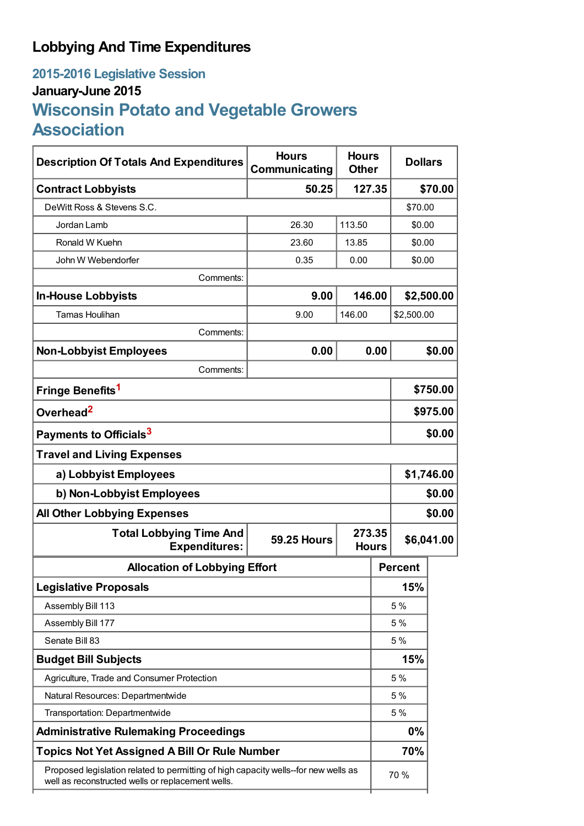# **Lobbying And Time Expenditures**

# **2015-2016 Legislative Session January-June 2015 Wisconsin Potato and Vegetable Growers Association**

| <b>Description Of Totals And Expenditures</b>                                                                                            | <b>Hours</b><br>Communicating | <b>Hours</b><br><b>Other</b> |                | <b>Dollars</b> |  |
|------------------------------------------------------------------------------------------------------------------------------------------|-------------------------------|------------------------------|----------------|----------------|--|
| <b>Contract Lobbyists</b>                                                                                                                | 50.25                         | 127.35                       |                | \$70.00        |  |
| DeWitt Ross & Stevens S.C.                                                                                                               |                               |                              | \$70.00        |                |  |
| Jordan Lamb                                                                                                                              | 26.30                         | 113.50                       |                | \$0.00         |  |
| Ronald W Kuehn                                                                                                                           | 23.60                         | 13.85                        |                | \$0.00         |  |
| John W Webendorfer                                                                                                                       | 0.35                          | 0.00                         | \$0.00         |                |  |
| Comments:                                                                                                                                |                               |                              |                |                |  |
| <b>In-House Lobbyists</b>                                                                                                                | 9.00                          | 146.00                       |                | \$2,500.00     |  |
| <b>Tamas Houlihan</b>                                                                                                                    | 9.00                          | 146.00                       | \$2,500.00     |                |  |
| Comments:                                                                                                                                |                               |                              |                |                |  |
| <b>Non-Lobbyist Employees</b>                                                                                                            | 0.00                          | 0.00<br>\$0.00               |                |                |  |
| Comments:                                                                                                                                |                               |                              |                |                |  |
| Fringe Benefits <sup>1</sup>                                                                                                             |                               |                              |                | \$750.00       |  |
| Overhead <sup>2</sup>                                                                                                                    |                               |                              |                | \$975.00       |  |
| Payments to Officials <sup>3</sup>                                                                                                       |                               |                              |                | \$0.00         |  |
| <b>Travel and Living Expenses</b>                                                                                                        |                               |                              |                |                |  |
| a) Lobbyist Employees                                                                                                                    |                               |                              |                | \$1,746.00     |  |
| b) Non-Lobbyist Employees                                                                                                                |                               |                              |                | \$0.00         |  |
| <b>All Other Lobbying Expenses</b>                                                                                                       |                               |                              |                | \$0.00         |  |
| <b>Total Lobbying Time And</b><br><b>Expenditures:</b>                                                                                   | <b>59.25 Hours</b>            | 273.35<br><b>Hours</b>       |                | \$6,041.00     |  |
| <b>Allocation of Lobbying Effort</b>                                                                                                     |                               |                              | <b>Percent</b> |                |  |
| <b>Legislative Proposals</b>                                                                                                             |                               |                              | 15%            |                |  |
| Assembly Bill 113                                                                                                                        |                               |                              | 5 %            |                |  |
| Assembly Bill 177                                                                                                                        |                               |                              | 5 %            |                |  |
| Senate Bill 83                                                                                                                           |                               |                              | 5 %            |                |  |
| <b>Budget Bill Subjects</b>                                                                                                              |                               |                              | 15%            |                |  |
| Agriculture, Trade and Consumer Protection                                                                                               |                               |                              | 5 %            |                |  |
| Natural Resources: Departmentwide                                                                                                        |                               |                              | 5 %            |                |  |
| Transportation: Departmentwide                                                                                                           |                               |                              | 5 %            |                |  |
| <b>Administrative Rulemaking Proceedings</b>                                                                                             |                               |                              | 0%             |                |  |
| <b>Topics Not Yet Assigned A Bill Or Rule Number</b>                                                                                     |                               |                              | 70%            |                |  |
| Proposed legislation related to permitting of high capacity wells--for new wells as<br>well as reconstructed wells or replacement wells. |                               |                              | 70 %           |                |  |